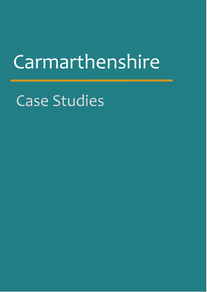# **Carmarthenshire**

Case Studies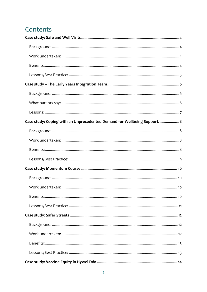# Contents

| Case study: Coping with an Unprecedented Demand for Wellbeing Support 8 |
|-------------------------------------------------------------------------|
|                                                                         |
|                                                                         |
|                                                                         |
|                                                                         |
|                                                                         |
|                                                                         |
|                                                                         |
|                                                                         |
|                                                                         |
|                                                                         |
|                                                                         |
|                                                                         |
|                                                                         |
|                                                                         |
|                                                                         |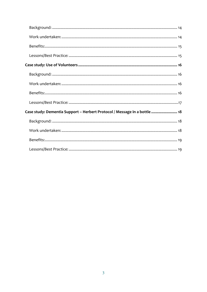| Case study: Dementia Support - Herbert Protocol / Message in a bottle  18 |  |
|---------------------------------------------------------------------------|--|
|                                                                           |  |
|                                                                           |  |
|                                                                           |  |
|                                                                           |  |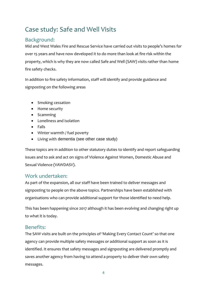# <span id="page-3-0"></span>Case study: Safe and Well Visits

# <span id="page-3-1"></span>Background:

Mid and West Wales Fire and Rescue Service have carried out visits to people's homes for over 15 years and have now developed it to do more than look at fire risk within the property, which is why they are now called Safe and Well (SAW) visits rather than home fire safety checks.

In addition to fire safety information, staff will identify and provide guidance and signposting on the following areas

- Smoking cessation
- Home security
- Scamming
- Loneliness and isolation
- Falls
- Winter warmth / fuel poverty
- Living with dementia (see other case study)

These topics are in addition to other statutory duties to identify and report safeguarding issues and to ask and act on signs of Violence Against Women, Domestic Abuse and Sexual Violence (VAWDASV).

# <span id="page-3-2"></span>Work undertaken:

As part of the expansion, all our staff have been trained to deliver messages and signposting to people on the above topics. Partnerships have been established with organisations who can provide additional support for those identified to need help.

This has been happening since 2017 although it has been evolving and changing right up to what it is today.

# <span id="page-3-3"></span>Benefits:

The SAW visits are built on the principles of 'Making Every Contact Count' so that one agency can provide multiple safety messages or additional support as soon as it is identified. It ensures that safety messages and signposting are delivered promptly and saves another agency from having to attend a property to deliver their own safety messages.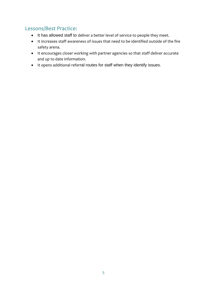# <span id="page-4-0"></span>Lessons/Best Practice:

- It has allowed staff to deliver a better level of service to people they meet.
- It increases staff awareness of issues that need to be identified outside of the fire safety arena.
- It encourages closer working with partner agencies so that staff deliver accurate and up to date information.
- It opens additional referral routes for staff when they identify issues.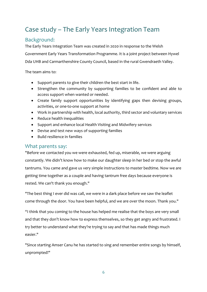# <span id="page-5-0"></span>Case study – The Early Years Integration Team

# <span id="page-5-1"></span>Background:

The Early Years Integration Team was created in 2020 in response to the Welsh Government Early Years Transformation Programme. It is a joint project between Hywel Dda UHB and Carmarthenshire County Council, based in the rural Gwendraeth Valley.

The team aims to:

- Support parents to give their children the best start in life.
- Strengthen the community by supporting families to be confident and able to access support when wanted or needed.
- Create family support opportunities by identifying gaps then devising groups, activities, or one-to-one support at home
- Work in partnership with health, local authority, third sector and voluntary services
- Reduce health inequalities
- Support and enhance local Health Visiting and Midwifery services
- Devise and test new ways of supporting families
- Build resilience in families

#### <span id="page-5-2"></span>What parents say:

"Before we contacted you we were exhausted, fed up, miserable, we were arguing constantly. We didn't know how to make our daughter sleep in her bed or stop the awful tantrums. You came and gave us very simple instructions to master bedtime. Now we are getting time together as a couple and having tantrum free days because everyone is rested. We can't thank you enough."

"The best thing I ever did was call, we were in a dark place before we saw the leaflet come through the door. You have been helpful, and we are over the moon. Thank you."

"I think that you coming to the house has helped me realise that the boys are very small and that they don't know how to express themselves, so they get angry and frustrated. I try better to understand what they're trying to say and that has made things much easier."

"Since starting Amser Canu he has started to sing and remember entire songs by himself, unprompted!"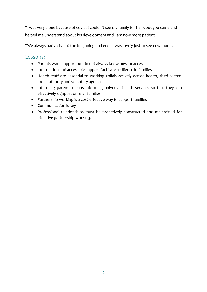"I was very alone because of covid. I couldn't see my family for help, but you came and helped me understand about his development and I am now more patient.

"We always had a chat at the beginning and end, it was lovely just to see new mums.''

#### <span id="page-6-0"></span>Lessons:

- Parents want support but do not always know how to access it
- Information and accessible support facilitate resilience in families
- Health staff are essential to working collaboratively across health, third sector, local authority and voluntary agencies
- Informing parents means informing universal health services so that they can effectively signpost or refer families
- Partnership working is a cost-effective way to support families
- Communication is key
- Professional relationships must be proactively constructed and maintained for effective partnership working.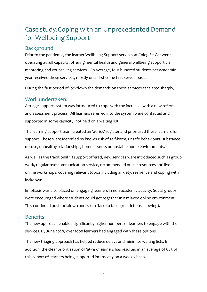# <span id="page-7-0"></span>Case study: Coping with an Unprecedented Demand for Wellbeing Support

### <span id="page-7-1"></span>Background:

Prior to the pandemic, the learner Wellbeing Support services at Coleg Sir Gar were operating at full capacity, offering mental health and general wellbeing support via mentoring and counselling services. On average, four hundred students per academic year received these services, mostly on a first come first served basis.

During the first period of lockdown the demands on these services escalated sharply,

#### <span id="page-7-2"></span>Work undertaken:

A triage support system was introduced to cope with the increase, with a new referral and assessment process. All learners referred into the system were contacted and supported in some capacity, not held on a waiting list.

The learning support team created an 'at-risk' register and prioritised these learners for support. These were identified by known risk of self-harm, unsafe behaviours, substance misuse, unhealthy relationships, homelessness or unstable home environments.

As well as the traditional 1:1 support offered, new services were introduced such as group work, regular text communication service, recommended online resources and live online workshops, covering relevant topics including anxiety, resilience and coping with lockdown.

Emphasis was also placed on engaging learners in non-academic activity. Social groups were encouraged where students could get together in a relaxed online environment. This continued post-lockdown and is run 'face to face' (restrictions allowing).

## <span id="page-7-3"></span>Benefits:

The new approach enabled significantly higher numbers of learners to engage with the services. By June 2020, over 1000 learners had engaged with these options.

The new triaging approach has helped reduce delays and minimise waiting lists. In addition, the clear prioritisation of 'at-risk' learners has resulted in an average of 88% of this cohort of learners being supported intensively on a weekly basis.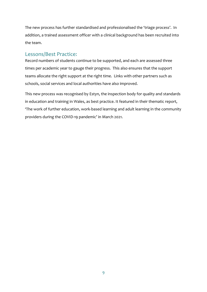The new process has further standardised and professionalised the 'triage process'. In addition, a trained assessment officer with a clinical background has been recruited into the team.

#### <span id="page-8-0"></span>Lessons/Best Practice:

Record numbers of students continue to be supported, and each are assessed three times per academic year to gauge their progress. This also ensures that the support teams allocate the right support at the right time. Links with other partners such as schools, social services and local authorities have also improved.

This new process was recognised by Estyn, the inspection body for quality and standards in education and training in Wales, as best practice. It featured in their thematic report, 'The work of further education, work-based learning and adult learning in the community providers during the COVID-19 pandemic' in March 2021.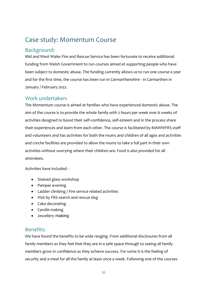# <span id="page-9-0"></span>Case study: Momentum Course

### <span id="page-9-1"></span>Background:

Mid and West Wales Fire and Rescue Service has been fortunate to receive additional funding from Welsh Government to run courses aimed at supporting people who have been subject to domestic abuse. The funding currently allows us to run one course a year and for the first time, the course has been run in Carmarthenshire - in Carmarthen in January / February 2022.

#### <span id="page-9-2"></span>Work undertaken:

The Momentum course is aimed at families who have experienced domestic abuse. The aim of the course is to provide the whole family with 2 hours per week over 6 weeks of activities designed to boost their self-confidence, self-esteem and in the process share their experiences and learn from each other. The course is facilitated by MAWWFRS staff and volunteers and has activities for both the mums and children of all ages and activities and creche facilities are provided to allow the mums to take a full part in their own activities without worrying where their children are. Food is also provided for all attendees.

Activities have included: -

- Stained glass workshop
- Pamper evening
- Ladder climbing / Fire service related activities
- Visit by FRS search and rescue dog
- Cake decorating
- Candle making
- Jewellery making

## <span id="page-9-3"></span>Benefits:

We have found the benefits to be wide ranging. From additional disclosures from all family members as they feel that they are in a safe space through to seeing all family members grow in confidence as they achieve success. For some it is the feeling of security and a meal for all the family at least once a week. Following one of the courses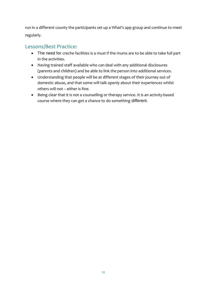run in a different county the participants set up a What's app group and continue to meet regularly.

# <span id="page-10-0"></span>Lessons/Best Practice:

- The need for creche facilities is a must if the mums are to be able to take full part in the activities.
- Having trained staff available who can deal with any additional disclosures (parents and children) and be able to link the person into additional services.
- Understanding that people will be at different stages of their journey out of domestic abuse, and that some will talk openly about their experiences whilst others will not – either is fine.
- Being clear that it is not a counselling or therapy service. It is an activity-based course where they can get a chance to do something different.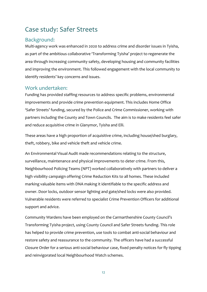# <span id="page-11-0"></span>Case study: Safer Streets

## <span id="page-11-1"></span>Background:

Multi-agency work was enhanced in 2020 to address crime and disorder issues in Tyisha, as part of the ambitious collaborative 'Transforming Tyisha' project to regenerate the area through increasing community safety, developing housing and community facilities and improving the environment. This followed engagement with the local community to identify residents' key concerns and issues.

#### <span id="page-11-2"></span>Work undertaken:

Funding has provided staffing resources to address specific problems, environmental improvements and provide crime prevention equipment. This includes Home Office 'Safer Streets' funding, secured by the Police and Crime Commissioner, working with partners including the County and Town Councils. The aim is to make residents feel safer and reduce acquisitive crime in Glanymor, Tyisha and Elli.

These areas have a high proportion of acquisitive crime, including house/shed burglary, theft, robbery, bike and vehicle theft and vehicle crime.

An Environmental Visual Audit made recommendations relating to the structure, surveillance, maintenance and physical improvements to deter crime. From this, Neighbourhood Policing Teams (NPT) worked collaboratively with partners to deliver a high visibility campaign offering Crime Reduction Kits to all homes. These included marking valuable items with DNA making it identifiable to the specific address and owner. Door locks, outdoor sensor lighting and gate/shed locks were also provided. Vulnerable residents were referred to specialist Crime Prevention Officers for additional support and advice.

Community Wardens have been employed on the Carmarthenshire County Council's Transforming Tyisha project, using County Council and Safer Streets funding. This role has helped to provide crime prevention, use tools to combat anti-social behaviour and restore safety and reassurance to the community. The officers have had a successful Closure Order for a serious anti-social behaviour case, fixed penalty notices for fly tipping and reinvigorated local Neighbourhood Watch schemes.

12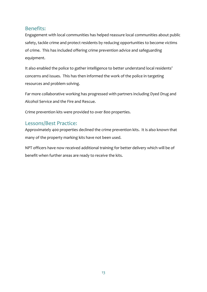### <span id="page-12-0"></span>Benefits:

Engagement with local communities has helped reassure local communities about public safety, tackle crime and protect residents by reducing opportunities to become victims of crime. This has included offering crime prevention advice and safeguarding equipment.

It also enabled the police to gather intelligence to better understand local residents' concerns and issues. This has then informed the work of the police in targeting resources and problem solving.

Far more collaborative working has progressed with partners including Dyed Drug and Alcohol Service and the Fire and Rescue.

Crime prevention kits were provided to over 800 properties.

## <span id="page-12-1"></span>Lessons/Best Practice:

Approximately 400 properties declined the crime prevention kits. It is also known that many of the property marking kits have not been used.

NPT officers have now received additional training for better delivery which will be of benefit when further areas are ready to receive the kits.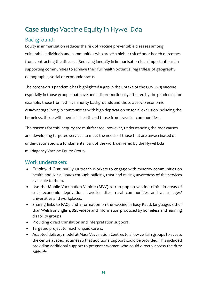# <span id="page-13-0"></span>**Case study:** Vaccine Equity in Hywel Dda

# <span id="page-13-1"></span>Background:

Equity in immunisation reduces the risk of vaccine preventable diseases among vulnerable individuals and communities who are at a higher risk of poor health outcomes from contracting the disease. Reducing inequity in immunisation is an important part in supporting communities to achieve their full health potential regardless of geography, demographic, social or economic status

The coronavirus pandemic has highlighted a gap in the uptake of the COVID-19 vaccine especially in those groups that have been disproportionally affected by the pandemic, for example, those from ethnic minority backgrounds and those at socio-economic disadvantage living in communities with high deprivation or social exclusion including the homeless, those with mental ill health and those from traveller communities.

The reasons for this inequity are multifaceted, however, understanding the root causes and developing targeted services to meet the needs of those that are unvaccinated or under-vaccinated is a fundamental part of the work delivered by the Hywel Dda multiagency Vaccine Equity Group.

# <span id="page-13-2"></span>Work undertaken:

- Employed Community Outreach Workers to engage with minority communities on health and social issues through building trust and raising awareness of the services available to them.
- Use the Mobile Vaccination Vehicle (MVV) to run pop-up vaccine clinics in areas of socio-economic deprivation, traveller sites, rural communities and at colleges/ universities and workplaces.
- Sharing links to FAQs and information on the vaccine in Easy-Read, languages other than Welsh or English, BSL videos and information produced by homeless and learning disability groups
- Providing direct translation and interpretation support
- Targeted project to reach unpaid carers.
- Adapted delivery model at Mass Vaccination Centres to allow certain groups to access the centre at specific times so that additional support could be provided. This included providing additional support to pregnant women who could directly access the duty Midwife.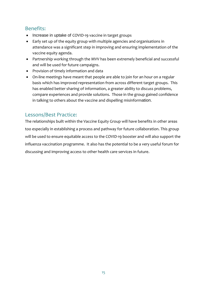# <span id="page-14-0"></span>Benefits:

- Increase in uptake of COVID-19 vaccine in target groups
- Early set up of the equity group with multiple agencies and organisations in attendance was a significant step in improving and ensuring implementation of the vaccine equity agenda.
- Partnership working through the MVV has been extremely beneficial and successful and will be used for future campaigns.
- Provision of timely information and data
- On-line meetings have meant that people are able to join for an hour on a regular basis which has improved representation from across different target groups. This has enabled better sharing of information, a greater ability to discuss problems, compare experiences and provide solutions. Those in the group gained confidence in talking to others about the vaccine and dispelling misinformation.

## <span id="page-14-1"></span>Lessons/Best Practice:

The relationships built within the Vaccine Equity Group will have benefits in other areas too especially in establishing a process and pathway for future collaboration. This group will be used to ensure equitable access to the COVID-19 booster and will also support the influenza vaccination programme. It also has the potential to be a very useful forum for discussing and improving access to other health care services in future.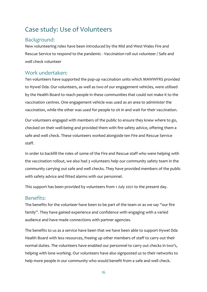# <span id="page-15-0"></span>Case study: Use of Volunteers

## <span id="page-15-1"></span>Background:

New volunteering roles have been introduced by the Mid and West Wales Fire and Rescue Service to respond to the pandemic - Vaccination roll out volunteer / Safe and well check volunteer

#### <span id="page-15-2"></span>Work undertaken:

Ten volunteers have supported the pop-up vaccination units which MAWWFRS provided to Hywel Dda. Our volunteers, as well as two of our engagement vehicles, were utilised by the Health Board to reach people in these communities that could not make it to the vaccination centres. One engagement vehicle was used as an area to administer the vaccination, while the other was used for people to sit in and wait for their vaccination.

Our volunteers engaged with members of the public to ensure they knew where to go, checked on their well-being and provided them with fire safety advice, offering them a safe and well check. These volunteers worked alongside ten Fire and Rescue Service staff.

In order to backfill the roles of some of the Fire and Rescue staff who were helping with the vaccination rollout, we also had 3 volunteers help our community safety team in the community carrying out safe and well checks. They have provided members of the public with safety advice and fitted alarms with our personnel.

This support has been provided by volunteers from 1 July 2021 to the present day.

#### <span id="page-15-3"></span>Benefits:

The benefits for the volunteer have been to be part of the team or as we say "our fire family". They have gained experience and confidence with engaging with a varied audience and have made connections with partner agencies.

The benefits to us as a service have been that we have been able to support Hywel Dda Health Board with less resources, freeing up other members of staff to carry out their normal duties. The volunteers have enabled our personnel to carry out checks in two's, helping with lone working. Our volunteers have also signposted us to their networks to help more people in our community who would benefit from a safe and well check.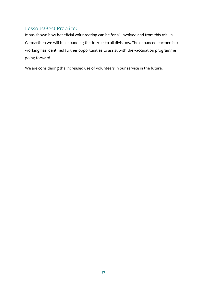# <span id="page-16-0"></span>Lessons/Best Practice:

It has shown how beneficial volunteering can be for all involved and from this trial in Carmarthen we will be expanding this in 2022 to all divisions. The enhanced partnership working has identified further opportunities to assist with the vaccination programme going forward.

We are considering the increased use of volunteers in our service in the future.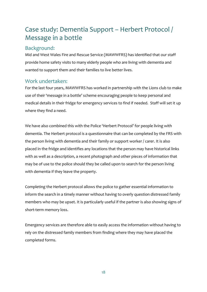# <span id="page-17-0"></span>Case study: Dementia Support – Herbert Protocol / Message in a bottle

### <span id="page-17-1"></span>Background:

Mid and West Wales Fire and Rescue Service (MAWWFRS) has identified that our staff provide home safety visits to many elderly people who are living with dementia and wanted to support them and their families to live better lives.

#### <span id="page-17-2"></span>Work undertaken:

For the last four years, MAWWFRS has worked in partnership with the Lions club to make use of their 'message in a bottle' scheme encouraging people to keep personal and medical details in their fridge for emergency services to find if needed. Staff will set it up where they find a need.

We have also combined this with the Police 'Herbert Protocol' for people living with dementia. The Herbert protocol is a questionnaire that can be completed by the FRS with the person living with dementia and their family or support worker / carer. It is also placed in the fridge and identifies any locations that the person may have historical links with as well as a description, a recent photograph and other pieces of information that may be of use to the police should they be called upon to search for the person living with dementia if they leave the property.

Completing the Herbert protocol allows the police to gather essential information to inform the search in a timely manner without having to overly question distressed family members who may be upset. It is particularly useful if the partner is also showing signs of short-term memory loss.

Emergency services are therefore able to easily access the information without having to rely on the distressed family members from finding where they may have placed the completed forms.